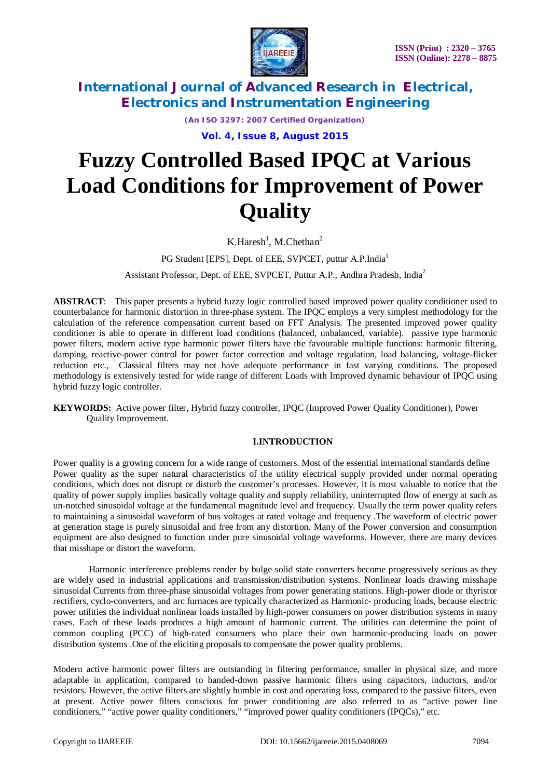

*(An ISO 3297: 2007 Certified Organization)*

**Vol. 4, Issue 8, August 2015**

# **Fuzzy Controlled Based IPQC at Various Load Conditions for Improvement of Power Quality**

 $K.Haresh<sup>1</sup>$ , M.Chethan<sup>2</sup>

PG Student [EPS], Dept. of EEE, SVPCET, puttur A.P.India<sup>1</sup>

Assistant Professor, Dept. of EEE, SVPCET, Puttur A.P., Andhra Pradesh, India<sup>2</sup>

**ABSTRACT**:This paper presents a hybrid fuzzy logic controlled based improved power quality conditioner used to counterbalance for harmonic distortion in three-phase system. The IPQC employs a very simplest methodology for the calculation of the reference compensation current based on FFT Analysis. The presented improved power quality conditioner is able to operate in different load conditions (balanced, unbalanced, variable). passive type harmonic power filters, modern active type harmonic power filters have the favourable multiple functions: harmonic filtering, damping, reactive-power control for power factor correction and voltage regulation, load balancing, voltage-flicker reduction etc., Classical filters may not have adequate performance in fast varying conditions. The proposed methodology is extensively tested for wide range of different Loads with Improved dynamic behaviour of IPQC using hybrid fuzzy logic controller.

### **I.INTRODUCTION**

Power quality is a growing concern for a wide range of customers. Most of the essential international standards define Power quality as the super natural characteristics of the utility electrical supply provided under normal operating conditions, which does not disrupt or disturb the customer's processes. However, it is most valuable to notice that the quality of power supply implies basically voltage quality and supply reliability, uninterrupted flow of energy at such as un-notched sinusoidal voltage at the fundamental magnitude level and frequency. Usually the term power quality refers to maintaining a sinusoidal waveform of bus voltages at rated voltage and frequency .The waveform of electric power at generation stage is purely sinusoidal and free from any distortion. Many of the Power conversion and consumption equipment are also designed to function under pure sinusoidal voltage waveforms. However, there are many devices that misshape or distort the waveform.

Harmonic interference problems render by bulge solid state converters become progressively serious as they are widely used in industrial applications and transmission/distribution systems. Nonlinear loads drawing misshape sinusoidal Currents from three-phase sinusoidal voltages from power generating stations. High-power diode or thyristor rectifiers, cyclo-converters, and arc furnaces are typically characterized as Harmonic- producing loads, because electric power utilities the individual nonlinear loads installed by high-power consumers on power distribution systems in many cases. Each of these loads produces a high amount of harmonic current. The utilities can determine the point of common coupling (PCC) of high-rated consumers who place their own harmonic-producing loads on power distribution systems .One of the eliciting proposals to compensate the power quality problems.

Modern active harmonic power filters are outstanding in filtering performance, smaller in physical size, and more adaptable in application, compared to handed-down passive harmonic filters using capacitors, inductors, and/or resistors. However, the active filters are slightly humble in cost and operating loss, compared to the passive filters, even at present. Active power filters conscious for power conditioning are also referred to as "active power line conditioners," "active power quality conditioners," "improved power quality conditioners (IPQCs)," etc.

**KEYWORDS:** Active power filter, Hybrid fuzzy controller, IPQC (Improved Power Quality Conditioner), Power Quality Improvement.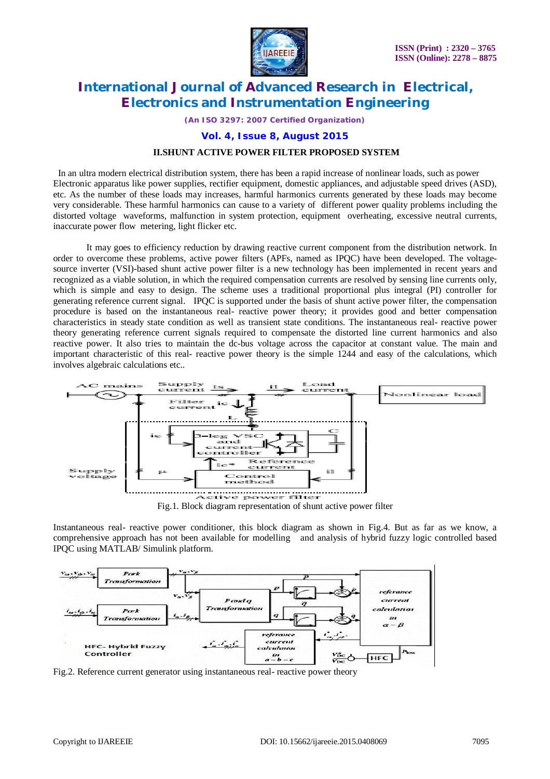

*(An ISO 3297: 2007 Certified Organization)*

#### **Vol. 4, Issue 8, August 2015**

#### **II.SHUNT ACTIVE POWER FILTER PROPOSED SYSTEM**

 In an ultra modern electrical distribution system, there has been a rapid increase of nonlinear loads, such as power Electronic apparatus like power supplies, rectifier equipment, domestic appliances, and adjustable speed drives (ASD), etc. As the number of these loads may increases, harmful harmonics currents generated by these loads may become very considerable. These harmful harmonics can cause to a variety of different power quality problems including the distorted voltage waveforms, malfunction in system protection, equipment overheating, excessive neutral currents, inaccurate power flow metering, light flicker etc.

It may goes to efficiency reduction by drawing reactive current component from the distribution network. In order to overcome these problems, active power filters (APFs, named as IPQC) have been developed. The voltagesource inverter (VSI)-based shunt active power filter is a new technology has been implemented in recent years and recognized as a viable solution, in which the required compensation currents are resolved by sensing line currents only, which is simple and easy to design. The scheme uses a traditional proportional plus integral (PI) controller for generating reference current signal. IPQC is supported under the basis of shunt active power filter, the compensation procedure is based on the instantaneous real- reactive power theory; it provides good and better compensation characteristics in steady state condition as well as transient state conditions. The instantaneous real- reactive power theory generating reference current signals required to compensate the distorted line current harmonics and also reactive power. It also tries to maintain the dc-bus voltage across the capacitor at constant value. The main and important characteristic of this real- reactive power theory is the simple 1244 and easy of the calculations, which involves algebraic calculations etc..



Instantaneous real- reactive power conditioner, this block diagram as shown in Fig.4. But as far as we know, a comprehensive approach has not been available for modelling and analysis of hybrid fuzzy logic controlled based IPQC using MATLAB/ Simulink platform.



Fig.2. Reference current generator using instantaneous real- reactive power theory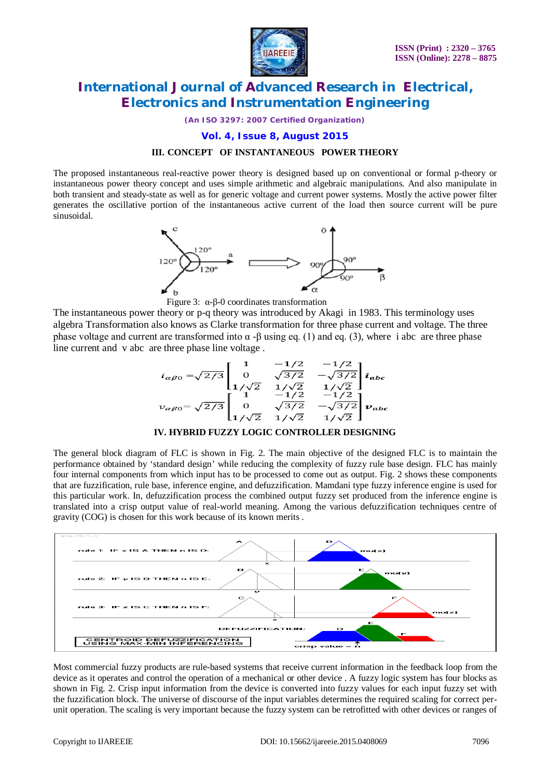

*(An ISO 3297: 2007 Certified Organization)*

#### **Vol. 4, Issue 8, August 2015**

#### **III. CONCEPT OF INSTANTANEOUS POWER THEORY**

The proposed instantaneous real-reactive power theory is designed based up on conventional or formal p-theory or instantaneous power theory concept and uses simple arithmetic and algebraic manipulations. And also manipulate in both transient and steady-state as well as for generic voltage and current power systems. Mostly the active power filter generates the oscillative portion of the instantaneous active current of the load then source current will be pure sinusoidal.





The instantaneous power theory or p-q theory was introduced by Akagi in 1983. This terminology uses algebra Transformation also knows as Clarke transformation for three phase current and voltage. The three phase voltage and current are transformed into  $\alpha$  -β using eq. (1) and eq. (3), where i abc are three phase line current and v abc are three phase line voltage .

$$
i_{\alpha\beta 0} = \sqrt{2/3} \begin{bmatrix} 1 & -1/2 & -1/2 \\ 0 & \sqrt{3/2} & -\sqrt{3/2} \\ 1/\sqrt{2} & 1/\sqrt{2} & 1/\sqrt{2} \\ 1 & -1/2 & -1/2 \\ 0 & \sqrt{3/2} & -\sqrt{3/2} \\ 1/\sqrt{2} & 1/\sqrt{2} & 1/\sqrt{2} \end{bmatrix} i_{abc}
$$

#### **IV. HYBRID FUZZY LOGIC CONTROLLER DESIGNING**

The general block diagram of FLC is shown in Fig. 2. The main objective of the designed FLC is to maintain the performance obtained by 'standard design' while reducing the complexity of fuzzy rule base design. FLC has mainly four internal components from which input has to be processed to come out as output. Fig. 2 shows these components that are fuzzification, rule base, inference engine, and defuzzification. Mamdani type fuzzy inference engine is used for this particular work. In, defuzzification process the combined output fuzzy set produced from the inference engine is translated into a crisp output value of real-world meaning. Among the various defuzzification techniques centre of gravity (COG) is chosen for this work because of its known merits .



Most commercial fuzzy products are rule-based systems that receive current information in the feedback loop from the device as it operates and control the operation of a mechanical or other device . A fuzzy logic system has four blocks as shown in Fig. 2. Crisp input information from the device is converted into fuzzy values for each input fuzzy set with the fuzzification block. The universe of discourse of the input variables determines the required scaling for correct perunit operation. The scaling is very important because the fuzzy system can be retrofitted with other devices or ranges of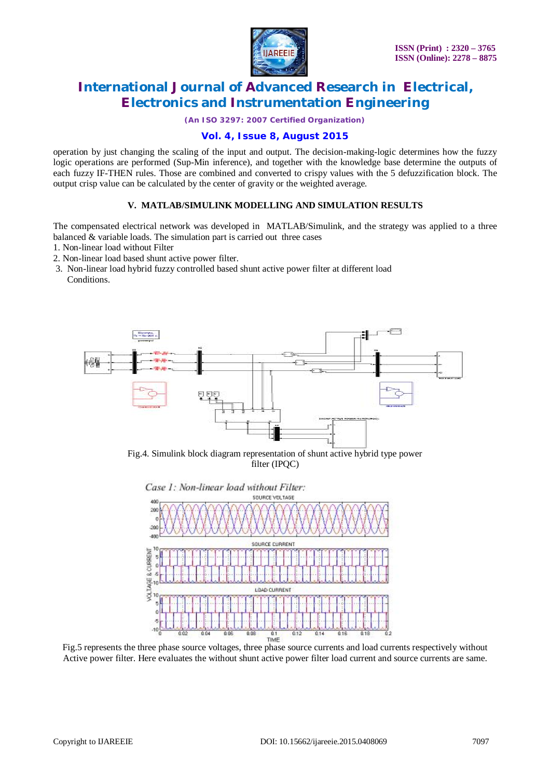

*(An ISO 3297: 2007 Certified Organization)*

### **Vol. 4, Issue 8, August 2015**

operation by just changing the scaling of the input and output. The decision-making-logic determines how the fuzzy logic operations are performed (Sup-Min inference), and together with the knowledge base determine the outputs of each fuzzy IF-THEN rules. Those are combined and converted to crispy values with the 5 defuzzification block. The output crisp value can be calculated by the center of gravity or the weighted average.

### **V. MATLAB/SIMULINK MODELLING AND SIMULATION RESULTS**

The compensated electrical network was developed in MATLAB/Simulink, and the strategy was applied to a three balanced & variable loads. The simulation part is carried out three cases

- 1. Non-linear load without Filter
- 2. Non-linear load based shunt active power filter.
- 3. Non-linear load hybrid fuzzy controlled based shunt active power filter at different load Conditions.



Fig.4. Simulink block diagram representation of shunt active hybrid type power filter (IPQC)



Fig.5 represents the three phase source voltages, three phase source currents and load currents respectively without Active power filter. Here evaluates the without shunt active power filter load current and source currents are same.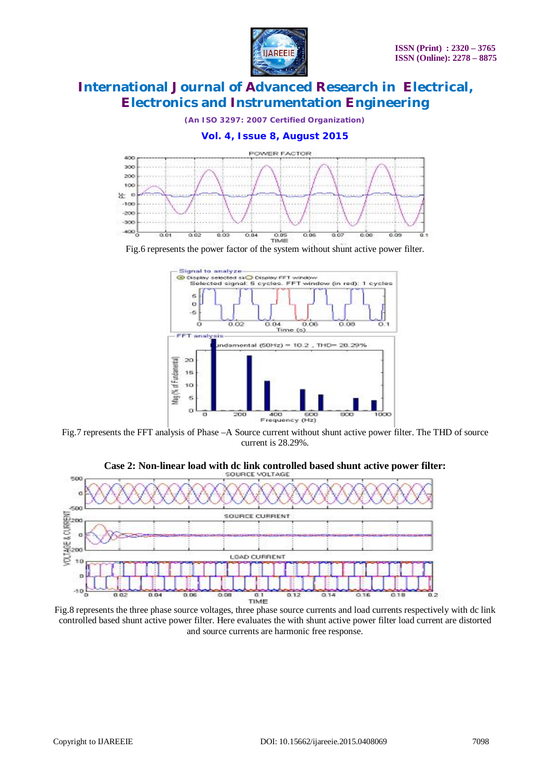

*(An ISO 3297: 2007 Certified Organization)*



Fig.6 represents the power factor of the system without shunt active power filter.



Fig.7 represents the FFT analysis of Phase –A Source current without shunt active power filter. The THD of source current is 28.29%.



**Case 2: Non-linear load with dc link controlled based shunt active power filter:**

Fig.8 represents the three phase source voltages, three phase source currents and load currents respectively with dc link controlled based shunt active power filter. Here evaluates the with shunt active power filter load current are distorted and source currents are harmonic free response.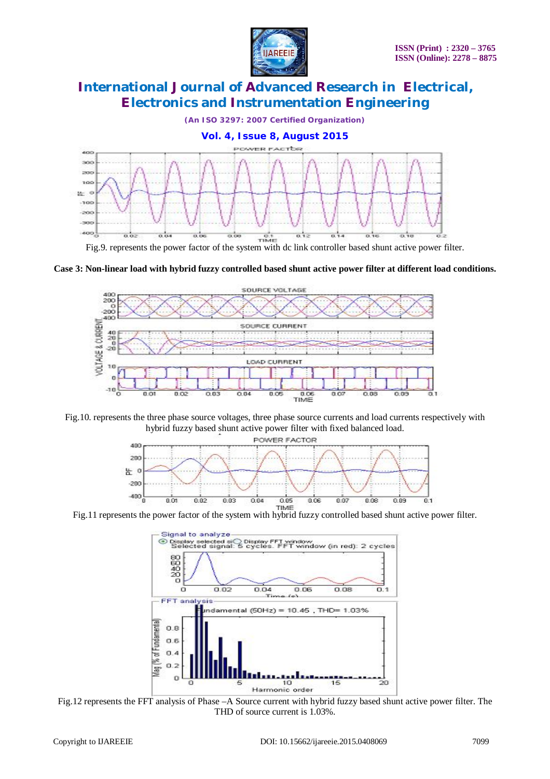



Fig.9. represents the power factor of the system with dc link controller based shunt active power filter.

**Case 3: Non-linear load with hybrid fuzzy controlled based shunt active power filter at different load conditions.** 



Fig.10. represents the three phase source voltages, three phase source currents and load currents respectively with hybrid fuzzy based shunt active power filter with fixed balanced load.



Fig.11 represents the power factor of the system with hybrid fuzzy controlled based shunt active power filter.



Fig.12 represents the FFT analysis of Phase –A Source current with hybrid fuzzy based shunt active power filter. The THD of source current is  $1.03\%$ .